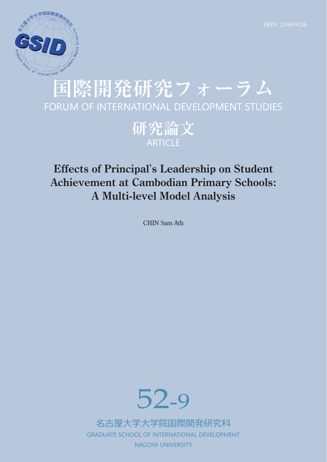

# **国際開発研究フォーラム** FORUM OF INTERNATIONAL DEVELOPMENT STUDIES

**研究論文 ARTICLE** 

# **Effects of Principal**'**s Leadership on Student Achievement at Cambodian Primary Schools: A Multi-level Model Analysis**

CHIN Sam Ath



名古屋⼤学⼤学院国際開発研究科 GRADUATE SCHOOL OF INTERNATIONAL DEVELOPMENT NAGOYA UNIVERSITY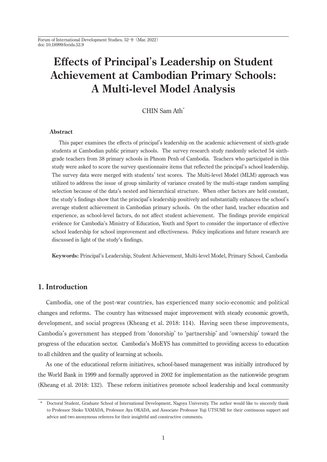# **Effects of Principal**'**s Leadership on Student Achievement at Cambodian Primary Schools: A Multi-level Model Analysis**

CHIN Sam Ath<sup>\*</sup>

# **Abstract**

 This paper examines the effects of principal's leadership on the academic achievement of sixth-grade students at Cambodian public primary schools. The survey research study randomly selected 54 sixthgrade teachers from 38 primary schools in Phnom Penh of Cambodia. Teachers who participated in this study were asked to score the survey questionnaire items that reflected the principal's school leadership. The survey data were merged with students' test scores. The Multi-level Model (MLM) approach was utilized to address the issue of group similarity of variance created by the multi-stage random sampling selection because of the data's nested and hierarchical structure. When other factors are held constant, the study's findings show that the principal's leadership positively and substantially enhances the school's average student achievement in Cambodian primary schools. On the other hand, teacher education and experience, as school-level factors, do not affect student achievement. The findings provide empirical evidence for Cambodia's Ministry of Education, Youth and Sport to consider the importance of effective school leadership for school improvement and effectiveness. Policy implications and future research are discussed in light of the study's findings.

**Keywords:** Principal's Leadership, Student Achievement, Multi-level Model, Primary School, Cambodia

# **1. Introduction**

 Cambodia, one of the post-war countries, has experienced many socio-economic and political changes and reforms. The country has witnessed major improvement with steady economic growth, development, and social progress (Kheang et al. 2018: 114). Having seen these improvements, Cambodia's government has stepped from 'donorship' to 'partnership' and 'ownership' toward the progress of the education sector. Cambodia's MoEYS has committed to providing access to education to all children and the quality of learning at schools.

 As one of the educational reform initiatives, school-based management was initially introduced by the World Bank in 1999 and formally approved in 2002 for implementation as the nationwide program (Kheang et al. 2018: 132). These reform initiatives promote school leadership and local community

<sup>\*</sup> Doctoral Student, Graduate School of International Development, Nagoya University. The author would like to sincerely thank to Professor Shoko YAMADA, Professor Aya OKADA, and Associate Professor Yuji UTSUMI for their continuous support and advice and two anonymous referees for their insightful and constructive comments.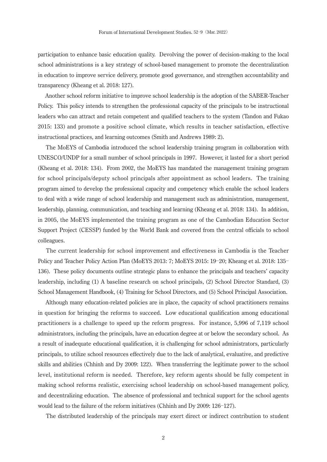participation to enhance basic education quality. Devolving the power of decision-making to the local school administrations is a key strategy of school-based management to promote the decentralization in education to improve service delivery, promote good governance, and strengthen accountability and transparency (Kheang et al. 2018: 127).

 Another school reform initiative to improve school leadership is the adoption of the SABER-Teacher Policy. This policy intends to strengthen the professional capacity of the principals to be instructional leaders who can attract and retain competent and qualified teachers to the system (Tandon and Fukao 2015: 133) and promote a positive school climate, which results in teacher satisfaction, effective instructional practices, and learning outcomes (Smith and Andrews 1989: 2).

 The MoEYS of Cambodia introduced the school leadership training program in collaboration with UNESCO/UNDP for a small number of school principals in 1997. However, it lasted for a short period (Kheang et al. 2018: 134). From 2002, the MoEYS has mandated the management training program for school principals/deputy school principals after appointment as school leaders. The training program aimed to develop the professional capacity and competency which enable the school leaders to deal with a wide range of school leadership and management such as administration, management, leadership, planning, communication, and teaching and learning (Kheang et al. 2018: 134). In addition, in 2005, the MoEYS implemented the training program as one of the Cambodian Education Sector Support Project (CESSP) funded by the World Bank and covered from the central officials to school colleagues.

 The current leadership for school improvement and effectiveness in Cambodia is the Teacher Policy and Teacher Policy Action Plan (MoEYS 2013: 7; MoEYS 2015: 19–20; Kheang et al. 2018: 135– 136). These policy documents outline strategic plans to enhance the principals and teachers' capacity leadership, including (1) A baseline research on school principals, (2) School Director Standard, (3) School Management Handbook, (4) Training for School Directors, and (5) School Principal Association.

 Although many education-related policies are in place, the capacity of school practitioners remains in question for bringing the reforms to succeed. Low educational qualification among educational practitioners is a challenge to speed up the reform progress. For instance, 5,996 of 7,119 school administrators, including the principals, have an education degree at or below the secondary school. As a result of inadequate educational qualification, it is challenging for school administrators, particularly principals, to utilize school resources effectively due to the lack of analytical, evaluative, and predictive skills and abilities (Chhinh and Dy 2009: 122). When transferring the legitimate power to the school level, institutional reform is needed. Therefore, key reform agents should be fully competent in making school reforms realistic, exercising school leadership on school-based management policy, and decentralizing education. The absence of professional and technical support for the school agents would lead to the failure of the reform initiatives (Chhinh and Dy 2009: 126-127).

The distributed leadership of the principals may exert direct or indirect contribution to student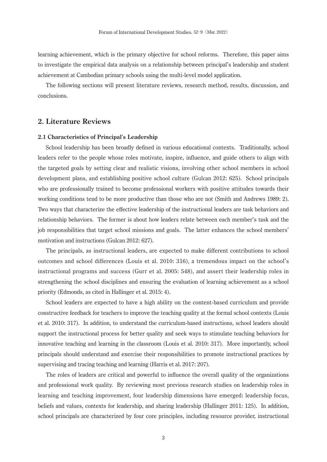learning achievement, which is the primary objective for school reforms. Therefore, this paper aims to investigate the empirical data analysis on a relationship between principal's leadership and student achievement at Cambodian primary schools using the multi-level model application.

 The following sections will present literature reviews, research method, results, discussion, and conclusions.

# **2. Literature Reviews**

# **2.1 Characteristics of Principal**'**s Leadership**

 School leadership has been broadly defined in various educational contexts. Traditionally, school leaders refer to the people whose roles motivate, inspire, influence, and guide others to align with the targeted goals by setting clear and realistic visions, involving other school members in school development plans, and establishing positive school culture (Gulcan 2012: 625). School principals who are professionally trained to become professional workers with positive attitudes towards their working conditions tend to be more productive than those who are not (Smith and Andrews 1989: 2). Two ways that characterize the effective leadership of the instructional leaders are task behaviors and relationship behaviors. The former is about how leaders relate between each member's task and the job responsibilities that target school missions and goals. The latter enhances the school members' motivation and instructions (Gulcan 2012: 627).

 The principals, as instructional leaders, are expected to make different contributions to school outcomes and school differences (Louis et al. 2010: 316), a tremendous impact on the school's instructional programs and success (Gurr et al. 2005: 548), and assert their leadership roles in strengthening the school disciplines and ensuring the evaluation of learning achievement as a school priority (Edmonds, as cited in Hallinger et al. 2015: 4).

 School leaders are expected to have a high ability on the content-based curriculum and provide constructive feedback for teachers to improve the teaching quality at the formal school contexts (Louis et al. 2010: 317). In addition, to understand the curriculum-based instructions, school leaders should support the instructional process for better quality and seek ways to stimulate teaching behaviors for innovative teaching and learning in the classroom (Louis et al. 2010: 317). More importantly, school principals should understand and exercise their responsibilities to promote instructional practices by supervising and tracing teaching and learning (Harris et al. 2017: 207).

 The roles of leaders are critical and powerful to influence the overall quality of the organizations and professional work quality. By reviewing most previous research studies on leadership roles in learning and teaching improvement, four leadership dimensions have emerged: leadership focus, beliefs and values, contexts for leadership, and sharing leadership (Hallinger 2011: 125). In addition, school principals are characterized by four core principles, including resource provider, instructional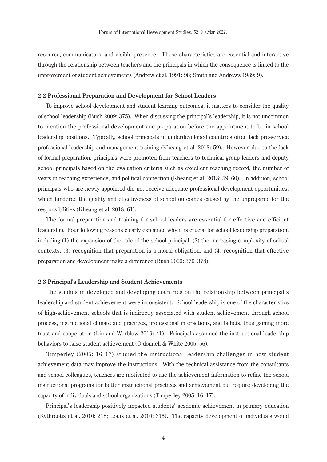resource, communicators, and visible presence. These characteristics are essential and interactive through the relationship between teachers and the principals in which the consequence is linked to the improvement of student achievements (Andrew et al. 1991: 98; Smith and Andrews 1989: 9).

# **2.2 Professional Preparation and Development for School Leaders**

 To improve school development and student learning outcomes, it matters to consider the quality of school leadership (Bush 2009: 375). When discussing the principal's leadership, it is not uncommon to mention the professional development and preparation before the appointment to be in school leadership positions. Typically, school principals in underdeveloped countries often lack pre-service professional leadership and management training (Kheang et al. 2018: 59). However, due to the lack of formal preparation, principals were promoted from teachers to technical group leaders and deputy school principals based on the evaluation criteria such as excellent teaching record, the number of years in teaching experience, and political connection (Kheang et al. 2018: 59–60). In addition, school principals who are newly appointed did not receive adequate professional development opportunities, which hindered the quality and effectiveness of school outcomes caused by the unprepared for the responsibilities (Kheang et al. 2018: 61).

 The formal preparation and training for school leaders are essential for effective and efficient leadership. Four following reasons clearly explained why it is crucial for school leadership preparation, including (1) the expansion of the role of the school principal, (2) the increasing complexity of school contexts, (3) recognition that preparation is a moral obligation, and (4) recognition that effective preparation and development make a difference (Bush 2009: 376-378).

#### **2.3 Principal**'**s Leadership and Student Achievements**

 The studies in developed and developing countries on the relationship between principal's leadership and student achievement were inconsistent. School leadership is one of the characteristics of high-achievement schools that is indirectly associated with student achievement through school process, instructional climate and practices, professional interactions, and beliefs, thus gaining more trust and cooperation (Liu and Werblow 2019: 41). Principals assumed the instructional leadership behaviors to raise student achievement (O'donnell & White 2005: 56).

Timperley  $(2005: 16-17)$  studied the instructional leadership challenges in how student achievement data may improve the instructions. With the technical assistance from the consultants and school colleagues, teachers are motivated to use the achievement information to refine the school instructional programs for better instructional practices and achievement but require developing the capacity of individuals and school organizations (Timperley 2005:  $16-17$ ).

 Principal's leadership positively impacted students' academic achievement in primary education (Kythreotis et al. 2010: 218; Louis et al. 2010: 315). The capacity development of individuals would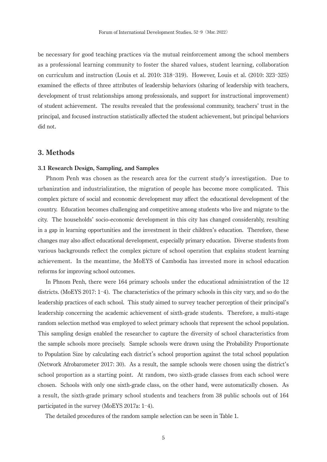be necessary for good teaching practices via the mutual reinforcement among the school members as a professional learning community to foster the shared values, student learning, collaboration on curriculum and instruction (Louis et al. 2010: 318–319). However, Louis et al. (2010: 323–325) examined the effects of three attributes of leadership behaviors (sharing of leadership with teachers, development of trust relationships among professionals, and support for instructional improvement) of student achievement. The results revealed that the professional community, teachers' trust in the principal, and focused instruction statistically affected the student achievement, but principal behaviors did not.

# **3. Methods**

#### **3.1 Research Design, Sampling, and Samples**

 Phnom Penh was chosen as the research area for the current study's investigation. Due to urbanization and industrialization, the migration of people has become more complicated. This complex picture of social and economic development may affect the educational development of the country. Education becomes challenging and competitive among students who live and migrate to the city. The households' socio-economic development in this city has changed considerably, resulting in a gap in learning opportunities and the investment in their children's education. Therefore, these changes may also affect educational development, especially primary education. Diverse students from various backgrounds reflect the complex picture of school operation that explains student learning achievement. In the meantime, the MoEYS of Cambodia has invested more in school education reforms for improving school outcomes.

 In Phnom Penh, there were 164 primary schools under the educational administration of the 12 districts. (MoEYS 2017:  $1-4$ ). The characteristics of the primary schools in this city vary, and so do the leadership practices of each school. This study aimed to survey teacher perception of their principal's leadership concerning the academic achievement of sixth-grade students. Therefore, a multi-stage random selection method was employed to select primary schools that represent the school population. This sampling design enabled the researcher to capture the diversity of school characteristics from the sample schools more precisely. Sample schools were drawn using the Probability Proportionate to Population Size by calculating each district's school proportion against the total school population (Network Afrobarometer 2017: 30). As a result, the sample schools were chosen using the district's school proportion as a starting point. At random, two sixth-grade classes from each school were chosen. Schools with only one sixth-grade class, on the other hand, were automatically chosen. As a result, the sixth-grade primary school students and teachers from 38 public schools out of 164 participated in the survey (MoEYS 2017a:  $1-4$ ).

The detailed procedures of the random sample selection can be seen in Table 1.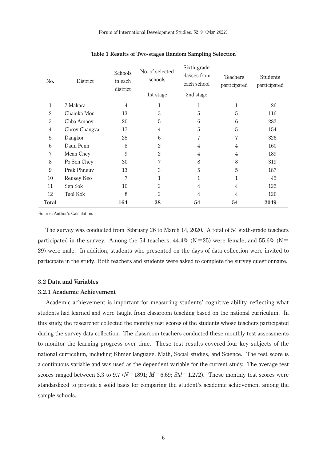| N <sub>0</sub> . | District           | Schools<br>in each<br>district | No. of selected<br>schools | Sixth-grade<br>classes from<br>each school | <b>Teachers</b><br>participated | <b>Students</b><br>participated |
|------------------|--------------------|--------------------------------|----------------------------|--------------------------------------------|---------------------------------|---------------------------------|
|                  |                    |                                | 1st stage                  | 2nd stage                                  |                                 |                                 |
| 1                | 7 Makara           | $\overline{4}$                 | 1                          | 1                                          | 1                               | 26                              |
| $\overline{2}$   | Chamka Mon         | 13                             | 3                          | 5                                          | 5                               | 116                             |
| 3                | Chba Ampov         | 20                             | 5                          | 6                                          | 6                               | 282                             |
| $\overline{4}$   | Chroy Changva      | 17                             | 4                          | 5                                          | 5                               | 154                             |
| 5                | Dangkor            | 25                             | 6                          | 7                                          | 7                               | 326                             |
| 6                | Daun Penh          | 8                              | $\overline{2}$             | 4                                          | 4                               | 160                             |
| 7                | Mean Chey          | 9                              | $\overline{2}$             | $\overline{4}$                             | 4                               | 189                             |
| 8                | Po Sen Chey        | 30                             | 7                          | 8                                          | 8                               | 319                             |
| 9                | <b>Prek Phneuv</b> | 13                             | 3                          | 5                                          | 5                               | 187                             |
| 10               | Reusey Keo         | $\overline{7}$                 | 1                          | 1                                          | 1                               | 45                              |
| 11               | Sen Sok            | 10                             | 2                          | 4                                          | 4                               | 125                             |
| 12               | <b>Tuol Kok</b>    | 8                              | 2                          | $\overline{4}$                             | 4                               | 120                             |
| <b>Total</b>     |                    | 164                            | 38                         | 54                                         | 54                              | 2049                            |

| Table 1 Results of Two-stages Random Sampling Selection |  |  |  |
|---------------------------------------------------------|--|--|--|
|---------------------------------------------------------|--|--|--|

Source: Author's Calculation.

 The survey was conducted from February 26 to March 14, 2020. A total of 54 sixth-grade teachers participated in the survey. Among the 54 teachers,  $44.4\%$  (N=25) were female, and 55.6% (N= 29) were male. In addition, students who presented on the days of data collection were invited to participate in the study. Both teachers and students were asked to complete the survey questionnaire.

## **3.2 Data and Variables**

#### **3.2.1 Academic Achievement**

 Academic achievement is important for measuring students' cognitive ability, reflecting what students had learned and were taught from classroom teaching based on the national curriculum. In this study, the researcher collected the monthly test scores of the students whose teachers participated during the survey data collection. The classroom teachers conducted these monthly test assessments to monitor the learning progress over time. These test results covered four key subjects of the national curriculum, including Khmer language, Math, Social studies, and Science. The test score is a continuous variable and was used as the dependent variable for the current study. The average test scores ranged between 3.3 to 9.7 ( $N=1891$ ;  $M=6.69$ ;  $Std=1.272$ ). These monthly test scores were standardized to provide a solid basis for comparing the student's academic achievement among the sample schools.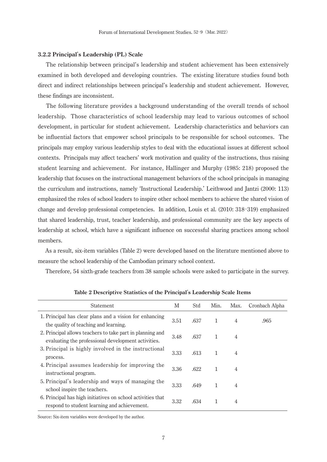## **3.2.2 Principal**'**s Leadership (PL) Scale**

 The relationship between principal's leadership and student achievement has been extensively examined in both developed and developing countries. The existing literature studies found both direct and indirect relationships between principal's leadership and student achievement. However, these findings are inconsistent.

 The following literature provides a background understanding of the overall trends of school leadership. Those characteristics of school leadership may lead to various outcomes of school development, in particular for student achievement. Leadership characteristics and behaviors can be influential factors that empower school principals to be responsible for school outcomes. The principals may employ various leadership styles to deal with the educational issues at different school contexts. Principals may affect teachers' work motivation and quality of the instructions, thus raising student learning and achievement. For instance, Hallinger and Murphy (1985: 218) proposed the leadership that focuses on the instructional management behaviors of the school principals in managing the curriculum and instructions, namely 'Instructional Leadership.' Leithwood and Jantzi (2000: 113) emphasized the roles of school leaders to inspire other school members to achieve the shared vision of change and develop professional competencies. In addition, Louis et al. (2010: 318–319) emphasized that shared leadership, trust, teacher leadership, and professional community are the key aspects of leadership at school, which have a significant influence on successful sharing practices among school members.

 As a result, six-item variables (Table 2) were developed based on the literature mentioned above to measure the school leadership of the Cambodian primary school context.

Therefore, 54 sixth-grade teachers from 38 sample schools were asked to participate in the survey.

| Statement                                                                                                        | М    | Std  | Min. | Max.           | Cronbach Alpha |
|------------------------------------------------------------------------------------------------------------------|------|------|------|----------------|----------------|
| 1. Principal has clear plans and a vision for enhancing<br>the quality of teaching and learning.                 | 3.51 | .637 | 1    | 4              | .965           |
| 2. Principal allows teachers to take part in planning and<br>evaluating the professional development activities. | 3.48 | .637 | 1    | 4              |                |
| 3. Principal is highly involved in the instructional<br>process.                                                 | 3.33 | .613 | 1    | 4              |                |
| 4. Principal assumes leadership for improving the<br>instructional program.                                      | 3.36 | .622 | 1    | 4              |                |
| 5. Principal's leadership and ways of managing the<br>school inspire the teachers.                               | 3.33 | .649 | 1    | $\overline{4}$ |                |
| 6. Principal has high initiatives on school activities that<br>respond to student learning and achievement.      | 3.32 | .634 | 1    | 4              |                |

**Table 2 Descriptive Statistics of the Principal**'**s Leadership Scale Items**

Source: Six-item variables were developed by the author.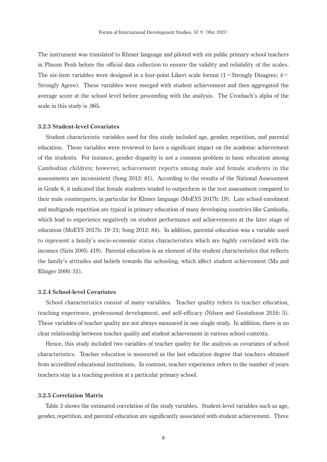The instrument was translated to Khmer language and piloted with six public primary school teachers in Phnom Penh before the official data collection to ensure the validity and reliability of the scales. The six-item variables were designed in a four-point Likert scale format  $(1 = \text{Strongly Disagree}; 4 =$ Strongly Agree). These variables were merged with student achievement and then aggregated the average score at the school level before proceeding with the analysis. The Cronbach's alpha of the scale in this study is .965.

# **3.2.3 Student-level Covariates**

 Student characteristic variables used for this study included age, gender, repetition, and parental education. These variables were reviewed to have a significant impact on the academic achievement of the students. For instance, gender disparity is not a common problem in basic education among Cambodian children; however, achievement reports among male and female students in the assessments are inconsistent (Song 2012: 81). According to the results of the National Assessment in Grade 6, it indicated that female students tended to outperform in the test assessment compared to their male counterparts, in particular for Khmer language (MoEYS 2017b: 19). Late school enrolment and multigrade repetition are typical in primary education of many developing countries like Cambodia, which lead to experience negatively on student performance and achievements at the later stage of education (MoEYS 2017b: 19-21; Song 2012: 84). In addition, parental education was a variable used to represent a family's socio-economic status characteristics which are highly correlated with the incomes (Sirin 2005: 419). Parental education is an element of the student characteristics that reflects the family's attitudes and beliefs towards the schooling, which affect student achievement (Ma and Klinger 2000: 51).

#### **3.2.4 School-level Covariates**

 School characteristics consist of many variables. Teacher quality refers to teacher education, teaching experience, professional development, and self-efficacy (Nilsen and Gustafsson 2016: 5). These variables of teacher quality are not always measured in one single study. In addition, there is no clear relationship between teacher quality and student achievement in various school contexts.

 Hence, this study included two variables of teacher quality for the analysis as covariates of school characteristics. Teacher education is measured as the last education degree that teachers obtained from accredited educational institutions. In contrast, teacher experience refers to the number of years teachers stay in a teaching position at a particular primary school.

# **3.2.5 Correlation Matrix**

 Table 3 shows the estimated correlation of the study variables. Student-level variables such as age, gender, repetition, and parental education are significantly associated with student achievement. Three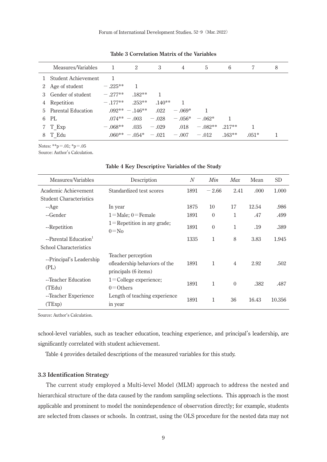|   | Measures/Variables    | $\overline{\phantom{0}}$ | 2                                      | 3             | 4        | 5               | 6        | 7       | 8 |
|---|-----------------------|--------------------------|----------------------------------------|---------------|----------|-----------------|----------|---------|---|
|   | 1 Student Achievement |                          |                                        |               |          |                 |          |         |   |
|   | 2 Age of student      | $-.225**$                |                                        |               |          |                 |          |         |   |
|   | 3 Gender of student   | $-.277**$                | $.182**$                               |               |          |                 |          |         |   |
|   | 4 Repetition          | $-177**$                 | $.253***$                              | $.140**$      |          |                 |          |         |   |
|   | 5 Parental Education  |                          | $.092** - .146**$                      | .022          | $-.069*$ |                 |          |         |   |
|   | 6 PL                  |                          | $.074** - .003 - .028 - .056* - .062*$ |               |          |                 |          |         |   |
|   | 7 T Exp               | $-.068**$                |                                        | $.035 - .029$ |          | $.018 - .082**$ | $217**$  |         |   |
| 8 | T Edu                 |                          | $.060** - .054* - .021 - .007 - .012$  |               |          |                 | $.163**$ | $.051*$ |   |

**Table 3 Correlation Matrix of the Variables**

Notes: \*\*p=.01; \*p=.05

Source: Author's Calculation.

| Measures/Variables                | Description                                                                 | $\overline{N}$ | Min      | Max            | Mean  | <b>SD</b> |
|-----------------------------------|-----------------------------------------------------------------------------|----------------|----------|----------------|-------|-----------|
| Academic Achievement              | Standardized test scores                                                    | 1891           | $-2.66$  | 2.41           | .000  | 1.000     |
| <b>Student Characteristics</b>    |                                                                             |                |          |                |       |           |
| --Age                             | In year                                                                     | 1875           | 10       | 17             | 12.54 | .986      |
| --Gender                          | $1 =$ Male: $0 =$ Female                                                    | 1891           | $\theta$ | 1              | .47   | .499      |
| --Repetition                      | $1$ = Repetition in any grade;<br>$0 = No$                                  | 1891           | $\theta$ | 1              | .19   | .389      |
| --Parental Education <sup>1</sup> |                                                                             | 1335           | 1        | 8              | 3.83  | 1.945     |
| School Characteristics            |                                                                             |                |          |                |       |           |
| --Principal's Leadership<br>(PL)  | Teacher perception<br>ofleadership behaviors of the<br>principals (6 items) | 1891           | 1        | $\overline{4}$ | 2.92  | .502      |
| --Teacher Education<br>(TEdu)     | $1 =$ College experience;<br>$0 =$ Others                                   | 1891           | 1        | $\theta$       | .382  | .487      |
| --Teacher Experience<br>(TExp)    | Length of teaching experience<br>in year                                    | 1891           | 1        | 36             | 16.43 | 10.356    |

#### **Table 4 Key Descriptive Variables of the Study**

Source: Author's Calculation.

school-level variables, such as teacher education, teaching experience, and principal's leadership, are significantly correlated with student achievement.

Table 4 provides detailed descriptions of the measured variables for this study.

# **3.3 Identification Strategy**

 The current study employed a Multi-level Model (MLM) approach to address the nested and hierarchical structure of the data caused by the random sampling selections. This approach is the most applicable and prominent to model the nonindependence of observation directly; for example, students are selected from classes or schools. In contrast, using the OLS procedure for the nested data may not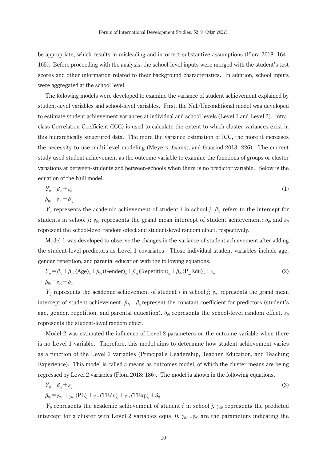be appropriate, which results in misleading and incorrect substantive assumptions (Flora 2018: 164– 165). Before proceeding with the analysis, the school-level inputs were merged with the student's test scores and other information related to their background characteristics. In addition, school inputs were aggregated at the school level

 The following models were developed to examine the variance of student achievement explained by student-level variables and school-level variables. First, the Null/Unconditional model was developed to estimate student achievement variances at individual and school levels (Level 1 and Level 2). Intraclass Correlation Coefficient (ICC) is used to calculate the extent to which cluster variances exist in this hierarchically structured data. The more the variance estimation of ICC, the more it increases the necessity to use multi-level modeling (Meyers, Gamst, and Guarind 2013: 226). The current study used student achievement as the outcome variable to examine the functions of groups or cluster variations at between-students and between-schools when there is no predictor variable. Below is the equation of the Null model.

$$
Y_{ij} = \beta_{0j} + \varepsilon_{ij}
$$
  
\n
$$
\beta_{0i} = \gamma_{00} + \delta_{0i}
$$
\n(1)

*Y<sub>ij</sub>* represents the academic achievement of student *i* in school *j*; *β*<sub>*0j*</sub> refers to the intercept for students in school *j*;  $\gamma_{00}$  represents the grand mean intercept of student achievement;  $\delta_{0j}$  and  $\varepsilon_{ij}$ represent the school-level random effect and student-level random effect, respectively.

 Model 1 was developed to observe the changes in the variance of student achievement after adding the student-level predictors as Level 1 covariates. Those individual student variables include age, gender, repetition, and parental education with the following equations.

$$
Y_{ij} = \beta_{0j} + \beta_{1j} (Age)_{ij} + \beta_{2j} (Gender)_{ij} + \beta_{3j} (Repetition)_{ij} + \beta_{4j} (P_E du)_{ij} + \varepsilon_{ij}
$$
  
\n
$$
\beta_{0j} = \gamma_{00} + \delta_{0j}
$$
\n(2)

*Y<sub>ij</sub>* represents the academic achievement of student *i* in school *j*;  $\gamma_{00}$  represents the grand mean intercept of student achievement.  $\beta_{1j} - \beta_{4j}$ represent the constant coefficient for predictors (student's age, gender, repetition, and parental education).  $\delta_{\theta i}$  represents the school-level random effect.  $\varepsilon_{ii}$ represents the student-level random effect.

 Model 2 was estimated the influence of Level 2 parameters on the outcome variable when there is no Level 1 variable. Therefore, this model aims to determine how student achievement varies as a function of the Level 2 variables (Principal's Leadership, Teacher Education, and Teaching Experience). This model is called a means-as-outcomes model, of which the cluster means are being regressed by Level 2 variables (Flora 2018: 186). The model is shown in the following equations.

$$
Y_{ij} = \beta_{0j} + \varepsilon_{ij}
$$
  
\n
$$
\beta_{0j} = \gamma_{00} + \gamma_{01} (\text{PL})_j + \gamma_{02} (\text{TEdu})_j + \gamma_{03} (\text{TExp})_j + \delta_{0j}
$$
\n(3)

*Y<sub>ij</sub>* represents the academic achievement of student *i* in school *j;*  $\gamma_{00}$  represents the predicted intercept for a cluster with Level 2 variables equal 0.  $\gamma_{01}$   $\gamma_{03}$  are the parameters indicating the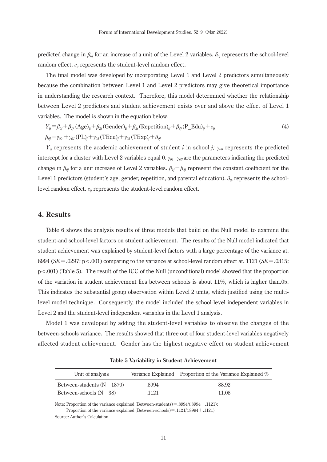predicted change in *β0j* for an increase of a unit of the Level 2 variables. *δ0j* represents the school-level random effect. *εij* represents the student-level random effect.

 The final model was developed by incorporating Level 1 and Level 2 predictors simultaneously because the combination between Level 1 and Level 2 predictors may give theoretical importance in understanding the research context. Therefore, this model determined whether the relationship between Level 2 predictors and student achievement exists over and above the effect of Level 1 variables. The model is shown in the equation below.

$$
Y_{ij} = \beta_{0j} + \beta_{1j} (Age)_{ij} + \beta_{2j} (Gender)_{ij} + \beta_{3j} (Repetition)_{ij} + \beta_{4j} (P_E du)_{ij} + \varepsilon_{ij}
$$
  
\n
$$
\beta_{0j} = \gamma_{00} + \gamma_{01} (PL)_{j} + \gamma_{02} (TEdu)_{j} + \gamma_{03} (TExp)_{j} + \delta_{0j}
$$
\n(4)

*Y<sub>ij</sub>* represents the academic achievement of student *i* in school *j;*  $\gamma_{00}$  represents the predicted intercept for a cluster with Level 2 variables equal 0.  $\gamma_{01}$ *<sub><i>v*01</sub></sub> $\gamma_{03}$  are the parameters indicating the predicted change in  $\beta_{0j}$  for a unit increase of Level 2 variables.  $\beta_{1j} - \beta_{4j}$  represent the constant coefficient for the Level 1 predictors (student's age, gender, repetition, and parental education). *δ0j* represents the schoollevel random effect.  $\varepsilon_{ii}$  represents the student-level random effect.

# **4. Results**

 Table 6 shows the analysis results of three models that build on the Null model to examine the student-and school-level factors on student achievement. The results of the Null model indicated that student achievement was explained by student-level factors with a large percentage of the variance at. 8994 ( $SE = 0.0297$ ; p<.001) comparing to the variance at school-level random effect at. 1121 ( $SE = 0.0315$ ; p<.001) (Table 5). The result of the ICC of the Null (unconditional) model showed that the proportion of the variation in student achievement lies between schools is about 11%, which is higher than.05. This indicates the substantial group observation within Level 2 units, which justified using the multilevel model technique. Consequently, the model included the school-level independent variables in Level 2 and the student-level independent variables in the Level 1 analysis.

 Model 1 was developed by adding the student-level variables to observe the changes of the between-schools variance. The results showed that three out of four student-level variables negatively affected student achievement. Gender has the highest negative effect on student achievement

| Unit of analysis            |       | Variance Explained Proportion of the Variance Explained % |
|-----------------------------|-------|-----------------------------------------------------------|
| Between-students $(N=1870)$ | .8994 | 88.92                                                     |
| Between-schools $(N=38)$    | .1121 | 11.08                                                     |

**Table 5 Variability in Student Achievement**

Note: Proportion of the variance explained (Between-students) = .8994/(.8994 + .1121); Proportion of the variance explained (Between-schools) = .1121/(.8994 + .1121) Source: Author's Calculation.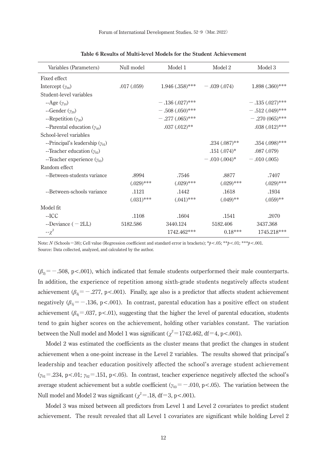| Variables (Parameters)               | Null model   | Model 1              | Model 2         | Model 3           |
|--------------------------------------|--------------|----------------------|-----------------|-------------------|
| Fixed effect                         |              |                      |                 |                   |
| Intercept $(\gamma_{00})$            | .017(.059)   | $1.946$ $(.358)$ *** | $-.039(.074)$   | $1.898(.360)$ *** |
| Student-level variables              |              |                      |                 |                   |
| $-Age(y_{10})$                       |              | $-.136(.027)$ ***    |                 | $-.135(.027)$ *** |
| --Gender $(y_{20})$                  |              | $-.508(.050)$ ***    |                 | $-.512(.049)$ *** |
| --Repetition $(y_{30})$              |              | $-.277(.065)$ ***    |                 | $-.270(065)$ ***  |
| --Parental education $(\gamma_{40})$ |              | $.037 \,(.012)^{**}$ |                 | $.038(.012)$ ***  |
| School-level variables               |              |                      |                 |                   |
| --Principal's leadership $(y_{01})$  |              |                      | $.234(.087)$ ** | $.354(.098)$ ***  |
| --Teacher education $(\gamma_{02})$  |              |                      | $.151(.074)*$   | .087(.079)        |
| --Teacher experience $(\gamma_{03})$ |              |                      | $-.010(.004)*$  | $-.010(.005)$     |
| Random effect                        |              |                      |                 |                   |
| --Between-students variance          | .8994        | .7546                | .8877           | .7407             |
|                                      | $(.029)$ *** | $(.029)$ ***         | $(.029)$ ***    | $(.029)$ ***      |
| --Between-schools variance           | .1121        | .1442                | .1618           | .1934             |
|                                      | $(.031)$ *** | $(.041)$ ***         | $(.049)$ **     | $(.059)$ **       |
| Model fit.                           |              |                      |                 |                   |
| $-ICC$                               | .1108        | .1604                | .1541           | .2070             |
| --Deviance $(-2LL)$                  | 5182.586     | 3440.124             | 5182.406        | 3437.368          |
| $-\chi^2$                            |              | 1742.462***          | $0.18***$       | 1745.218***       |

Note: *N* (Schoolsᶽ38); Cell value (Regression coefficient and standard error in brackets); \**p*<.05; \*\**p*<.01; \*\*\**p*<.001. Source: Data collected, analyzed, and calculated by the author.

 $(\beta_{2i} = -.508, p < .001)$ , which indicated that female students outperformed their male counterparts. In addition, the experience of repetition among sixth-grade students negatively affects student achievement ( $\beta_{3}$  = -.277, p <.001). Finally, age also is a predictor that affects student achievement negatively  $(\beta_{1j} = -.136, p < .001)$ . In contrast, parental education has a positive effect on student achievement ( $\beta_{4}$ =.037, p<.01), suggesting that the higher the level of parental education, students tend to gain higher scores on the achievement, holding other variables constant. The variation between the Null model and Model 1 was significant  $(\chi^2 = 1742.462, df = 4, p < .001)$ .

 Model 2 was estimated the coefficients as the cluster means that predict the changes in student achievement when a one-point increase in the Level 2 variables. The results showed that principal's leadership and teacher education positively affected the school's average student achievement  $(y_{01} = .234, p < .01; y_{02} = .151, p < .05)$ . In contrast, teacher experience negatively affected the school's average student achievement but a subtle coefficient ( $\gamma_{03} = -.010$ , p<.05). The variation between the Null model and Model 2 was significant  $(\chi^2 = .18, df = 3, p < .001)$ .

 Model 3 was mixed between all predictors from Level 1 and Level 2 covariates to predict student achievement. The result revealed that all Level 1 covariates are significant while holding Level 2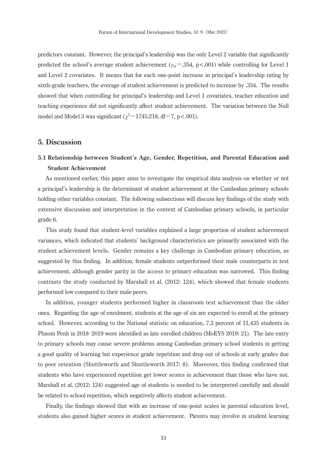predictors constant. However, the principal's leadership was the only Level 2 variable that significantly predicted the school's average student achievement ( $\gamma_{0I}$  = .354, p <.001) while controlling for Level 1 and Level 2 covariates. It means that for each one-point increase in principal's leadership rating by sixth-grade teachers, the average of student achievement is predicted to increase by .354. The results showed that when controlling for principal's leadership and Level 1 covariates, teacher education and teaching experience did not significantly affect student achievement. The variation between the Null model and Model 3 was significant  $(\chi^2 = 1745.218, df = 7, p < .001)$ .

# **5. Discussion**

# **5.1 Relationship between Student**'**s Age, Gender, Repetition, and Parental Education and Student Achievement**

 As mentioned earlier, this paper aims to investigate the empirical data analysis on whether or not a principal's leadership is the determinant of student achievement at the Cambodian primary schools holding other variables constant. The following subsections will discuss key findings of the study with extensive discussion and interpretation in the context of Cambodian primary schools, in particular grade 6.

 This study found that student-level variables explained a large proportion of student achievement variances, which indicated that students' background characteristics are primarily associated with the student achievement levels. Gender remains a key challenge in Cambodian primary education, as suggested by this finding. In addition, female students outperformed their male counterparts in test achievement, although gender parity in the access to primary education was narrowed. This finding contrasts the study conducted by Marshall et al. (2012: 124), which showed that female students performed low compared to their male peers.

 In addition, younger students performed higher in classroom test achievement than the older ones. Regarding the age of enrolment, students at the age of six are expected to enroll at the primary school. However, according to the National statistic on education, 7.3 percent of 11,435 students in Phnom Penh in 2018–2019 were identified as late enrolled children (MoEYS 2019: 21). The late entry to primary schools may cause severe problems among Cambodian primary school students in getting a good quality of learning but experience grade repetition and drop out of schools at early grades due to poor retention (Shuttleworth and Shuttleworth 2017: 8). Moreover, this finding confirmed that students who have experienced repetition get lower scores in achievement than those who have not. Marshall et al. (2012: 124) suggested age of students is needed to be interpreted carefully and should be related to school repetition, which negatively affects student achievement.

 Finally, the findings showed that with an increase of one-point scales in parental education level, students also gained higher scores in student achievement. Parents may involve in student learning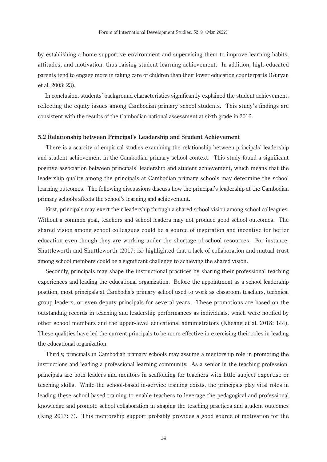by establishing a home-supportive environment and supervising them to improve learning habits, attitudes, and motivation, thus raising student learning achievement. In addition, high-educated parents tend to engage more in taking care of children than their lower education counterparts (Guryan et al. 2008: 23).

 In conclusion, students' background characteristics significantly explained the student achievement, reflecting the equity issues among Cambodian primary school students. This study's findings are consistent with the results of the Cambodian national assessment at sixth grade in 2016.

# **5.2 Relationship between Principal**'**s Leadership and Student Achievement**

 There is a scarcity of empirical studies examining the relationship between principals' leadership and student achievement in the Cambodian primary school context. This study found a significant positive association between principals' leadership and student achievement, which means that the leadership quality among the principals at Cambodian primary schools may determine the school learning outcomes. The following discussions discuss how the principal's leadership at the Cambodian primary schools affects the school's learning and achievement.

 First, principals may exert their leadership through a shared school vision among school colleagues. Without a common goal, teachers and school leaders may not produce good school outcomes. The shared vision among school colleagues could be a source of inspiration and incentive for better education even though they are working under the shortage of school resources. For instance, Shuttleworth and Shuttleworth (2017: ix) highlighted that a lack of collaboration and mutual trust among school members could be a significant challenge to achieving the shared vision.

 Secondly, principals may shape the instructional practices by sharing their professional teaching experiences and leading the educational organization. Before the appointment as a school leadership position, most principals at Cambodia's primary school used to work as classroom teachers, technical group leaders, or even deputy principals for several years. These promotions are based on the outstanding records in teaching and leadership performances as individuals, which were notified by other school members and the upper-level educational administrators (Kheang et al. 2018: 144). These qualities have led the current principals to be more effective in exercising their roles in leading the educational organization.

 Thirdly, principals in Cambodian primary schools may assume a mentorship role in promoting the instructions and leading a professional learning community. As a senior in the teaching profession, principals are both leaders and mentors in scaffolding for teachers with little subject expertise or teaching skills. While the school-based in-service training exists, the principals play vital roles in leading these school-based training to enable teachers to leverage the pedagogical and professional knowledge and promote school collaboration in shaping the teaching practices and student outcomes (King 2017: 7). This mentorship support probably provides a good source of motivation for the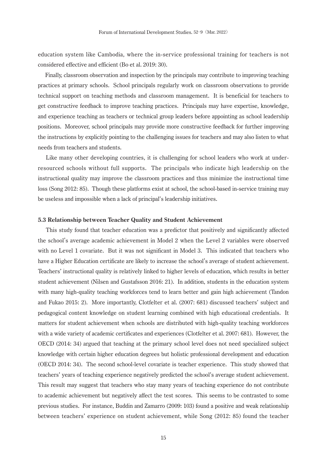education system like Cambodia, where the in-service professional training for teachers is not considered effective and efficient (Bo et al. 2019: 30).

 Finally, classroom observation and inspection by the principals may contribute to improving teaching practices at primary schools. School principals regularly work on classroom observations to provide technical support on teaching methods and classroom management. It is beneficial for teachers to get constructive feedback to improve teaching practices. Principals may have expertise, knowledge, and experience teaching as teachers or technical group leaders before appointing as school leadership positions. Moreover, school principals may provide more constructive feedback for further improving the instructions by explicitly pointing to the challenging issues for teachers and may also listen to what needs from teachers and students.

 Like many other developing countries, it is challenging for school leaders who work at underresourced schools without full supports. The principals who indicate high leadership on the instructional quality may improve the classroom practices and thus minimize the instructional time loss (Song 2012: 85). Though these platforms exist at school, the school-based in-service training may be useless and impossible when a lack of principal's leadership initiatives.

# **5.3 Relationship between Teacher Quality and Student Achievement**

 This study found that teacher education was a predictor that positively and significantly affected the school's average academic achievement in Model 2 when the Level 2 variables were observed with no Level 1 covariate. But it was not significant in Model 3. This indicated that teachers who have a Higher Education certificate are likely to increase the school's average of student achievement. Teachers' instructional quality is relatively linked to higher levels of education, which results in better student achievement (Nilsen and Gustafsson 2016: 21). In addition, students in the education system with many high-quality teaching workforces tend to learn better and gain high achievement (Tandon and Fukao 2015: 2). More importantly, Clotfelter et al. (2007: 681) discussed teachers' subject and pedagogical content knowledge on student learning combined with high educational credentials. It matters for student achievement when schools are distributed with high-quality teaching workforces with a wide variety of academic certificates and experiences (Clotfelter et al. 2007: 681). However, the OECD (2014: 34) argued that teaching at the primary school level does not need specialized subject knowledge with certain higher education degrees but holistic professional development and education (OECD 2014: 34). The second school-level covariate is teacher experience. This study showed that teachers' years of teaching experience negatively predicted the school's average student achievement. This result may suggest that teachers who stay many years of teaching experience do not contribute to academic achievement but negatively affect the test scores. This seems to be contrasted to some previous studies. For instance, Buddin and Zamarro (2009: 103) found a positive and weak relationship between teachers' experience on student achievement, while Song (2012: 85) found the teacher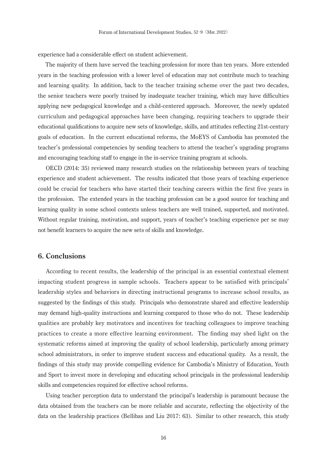experience had a considerable effect on student achievement.

 The majority of them have served the teaching profession for more than ten years. More extended years in the teaching profession with a lower level of education may not contribute much to teaching and learning quality. In addition, back to the teacher training scheme over the past two decades, the senior teachers were poorly trained by inadequate teacher training, which may have difficulties applying new pedagogical knowledge and a child-centered approach. Moreover, the newly updated curriculum and pedagogical approaches have been changing, requiring teachers to upgrade their educational qualifications to acquire new sets of knowledge, skills, and attitudes reflecting 21st-century goals of education. In the current educational reforms, the MoEYS of Cambodia has promoted the teacher's professional competencies by sending teachers to attend the teacher's upgrading programs and encouraging teaching staff to engage in the in-service training program at schools.

 OECD (2014: 35) reviewed many research studies on the relationship between years of teaching experience and student achievement. The results indicated that those years of teaching experience could be crucial for teachers who have started their teaching careers within the first five years in the profession. The extended years in the teaching profession can be a good source for teaching and learning quality in some school contexts unless teachers are well trained, supported, and motivated. Without regular training, motivation, and support, years of teacher's teaching experience per se may not benefit learners to acquire the new sets of skills and knowledge.

# **6. Conclusions**

 According to recent results, the leadership of the principal is an essential contextual element impacting student progress in sample schools. Teachers appear to be satisfied with principals' leadership styles and behaviors in directing instructional programs to increase school results, as suggested by the findings of this study. Principals who demonstrate shared and effective leadership may demand high-quality instructions and learning compared to those who do not. These leadership qualities are probably key motivators and incentives for teaching colleagues to improve teaching practices to create a more effective learning environment. The finding may shed light on the systematic reforms aimed at improving the quality of school leadership, particularly among primary school administrators, in order to improve student success and educational quality. As a result, the findings of this study may provide compelling evidence for Cambodia's Ministry of Education, Youth and Sport to invest more in developing and educating school principals in the professional leadership skills and competencies required for effective school reforms.

 Using teacher perception data to understand the principal's leadership is paramount because the data obtained from the teachers can be more reliable and accurate, reflecting the objectivity of the data on the leadership practices (Bellibas and Liu 2017: 63). Similar to other research, this study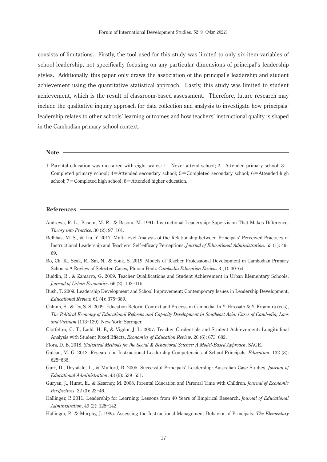consists of limitations. Firstly, the tool used for this study was limited to only six-item variables of school leadership, not specifically focusing on any particular dimensions of principal's leadership styles. Additionally, this paper only draws the association of the principal's leadership and student achievement using the quantitative statistical approach. Lastly, this study was limited to student achievement, which is the result of classroom-based assessment. Therefore, future research may include the qualitative inquiry approach for data collection and analysis to investigate how principals' leadership relates to other schools' learning outcomes and how teachers' instructional quality is shaped in the Cambodian primary school context.

**Note** 

1 Parental education was measured with eight scales:  $1 =$ Never attend school;  $2 =$ Attended primary school;  $3 =$ Completed primary school;  $4$ =Attended secondary school; 5 = Completed secondary school; 6 = Attended high school; 7 = Completed high school; 8 = Attended higher education.

#### **References**

- Andrews, R. L., Basom, M. R., & Basom, M. 1991. Instructional Leadership: Supervision That Makes Difference. *Theory into Practice*. 30(2): 97-101.
- Bellibas, M. S., & Liu, Y. 2017. Multi-level Analysis of the Relationship between Principals' Perceived Practices of Instructional Leadership and Teachers' Self-efficacy Perceptions. *Journal of Educational Administration*. 55 (1): 49-69.
- Bo, Ch. K., Seak, R., Sin, N., & Souk, S. 2019. Models of Teacher Professional Development in Cambodian Primary Schools: A Review of Selected Cases, Phnom Penh. *Cambodia Education Review*. 3 (1): 30-64.
- Buddin, R., & Zamarro, G. 2009. Teacher Qualifications and Student Achievement in Urban Elementary Schools. *Journal of Urban Economics*. 66 (2): 103-115.
- Bush, T. 2009. Leadership Development and School Improvement: Contemporary Issues in Leadership Development. *Educational Review.* 61 (4): 375-389.
- Chhinh, S., & Dy, S. S. 2009. Education Reform Context and Process in Cambodia. In Y. Hirosato & Y. Kitamura (eds), *The Political Economy of Educational Reforms and Capacity Development in Southeast Asia: Cases of Cambodia, Laos*  and Vietnam (113-129). New York: Springer.
- Clotfelter, C. T., Ladd, H. F., & Vigdor, J. L. 2007. Teacher Credentials and Student Achievement: Longitudinal Analysis with Student Fixed Effects. *Economics of Education Review*. 26 (6): 673-682.
- Flora, D. B. 2018. *Statistical Methods for the Social & Behavioral Science: A Model-Based Approach*. SAGE.
- Gulcan, M. G. 2012. Research on Instructional Leadership Competencies of School Principals. *Education*. 132(3): 625-636.
- Gurr, D., Drysdale, L., & Mulford, B. 2005. Successful Principals' Leadership: Australian Case Studies. *Journal of Educational Administration*. 43 (6): 539-551.
- Guryan, J., Hurst, E., & Kearney, M. 2008. Parental Education and Parental Time with Children. *Journal of Economic Perspectives*. 22 (3): 23-46.
- Hallinger, P. 2011. Leadership for Learning: Lessons from 40 Years of Empirical Research. *Journal of Educational Administration*. 49 (2): 125-142.
- Hallinger, P., & Murphy, J. 1985. Assessing the Instructional Management Behavior of Principals. *The Elementary*